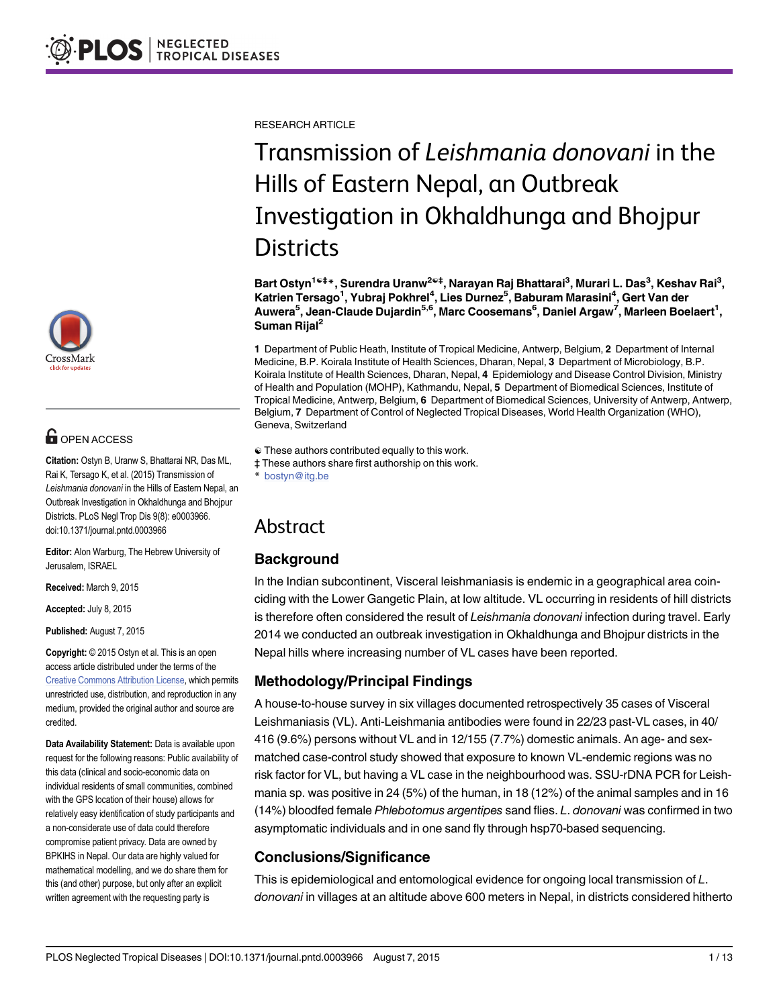

## **G** OPEN ACCESS

Citation: Ostyn B, Uranw S, Bhattarai NR, Das ML, Rai K, Tersago K, et al. (2015) Transmission of Leishmania donovani in the Hills of Eastern Nepal, an Outbreak Investigation in Okhaldhunga and Bhojpur Districts. PLoS Negl Trop Dis 9(8): e0003966. doi:10.1371/journal.pntd.0003966

Editor: Alon Warburg, The Hebrew University of Jerusalem, ISRAEL

Received: March 9, 2015

Accepted: July 8, 2015

Published: August 7, 2015

Copyright: © 2015 Ostyn et al. This is an open access article distributed under the terms of the [Creative Commons Attribution License,](http://creativecommons.org/licenses/by/4.0/) which permits unrestricted use, distribution, and reproduction in any medium, provided the original author and source are credited.

Data Availability Statement: Data is available upon request for the following reasons: Public availability of this data (clinical and socio-economic data on individual residents of small communities, combined with the GPS location of their house) allows for relatively easy identification of study participants and a non-considerate use of data could therefore compromise patient privacy. Data are owned by BPKIHS in Nepal. Our data are highly valued for mathematical modelling, and we do share them for this (and other) purpose, but only after an explicit written agreement with the requesting party is

RESEARCH ARTICLE

# Transmission of Leishmania donovani in the Hills of Eastern Nepal, an Outbreak Investigation in Okhaldhunga and Bhojpur **Districts**

Bart Ostyn<sup>1ଢ‡</sup>\*, Surendra Uranw<sup>2ଢ‡</sup>, Narayan Raj Bhattarai<sup>3</sup>, Murari L. Das<sup>3</sup>, Keshav Rai<sup>3</sup>, Katrien Tersago<sup>1</sup>, Yubraj Pokhrel<sup>4</sup>, Lies Durnez<sup>5</sup>, Baburam Marasini<sup>4</sup>, Gert Van der Auwera<sup>5</sup>, Jean-Claude Dujardin<sup>5,6</sup>, Marc Coosemans<sup>6</sup>, Daniel Argaw<sup>7</sup>, Marleen Boelaert<sup>1</sup>, Suman Rijal<sup>2</sup>

1 Department of Public Heath, Institute of Tropical Medicine, Antwerp, Belgium, 2 Department of Internal Medicine, B.P. Koirala Institute of Health Sciences, Dharan, Nepal, 3 Department of Microbiology, B.P. Koirala Institute of Health Sciences, Dharan, Nepal, 4 Epidemiology and Disease Control Division, Ministry of Health and Population (MOHP), Kathmandu, Nepal, 5 Department of Biomedical Sciences, Institute of Tropical Medicine, Antwerp, Belgium, 6 Department of Biomedical Sciences, University of Antwerp, Antwerp, Belgium, 7 Department of Control of Neglected Tropical Diseases, World Health Organization (WHO), Geneva, Switzerland

- ☯ These authors contributed equally to this work.
- ‡ These authors share first authorship on this work.

bostyn@itg.be

## Abstract

#### **Background**

In the Indian subcontinent, Visceral leishmaniasis is endemic in a geographical area coinciding with the Lower Gangetic Plain, at low altitude. VL occurring in residents of hill districts is therefore often considered the result of Leishmania donovani infection during travel. Early 2014 we conducted an outbreak investigation in Okhaldhunga and Bhojpur districts in the Nepal hills where increasing number of VL cases have been reported.

#### Methodology/Principal Findings

A house-to-house survey in six villages documented retrospectively 35 cases of Visceral Leishmaniasis (VL). Anti-Leishmania antibodies were found in 22/23 past-VL cases, in 40/ 416 (9.6%) persons without VL and in 12/155 (7.7%) domestic animals. An age- and sexmatched case-control study showed that exposure to known VL-endemic regions was no risk factor for VL, but having a VL case in the neighbourhood was. SSU-rDNA PCR for Leishmania sp. was positive in 24 (5%) of the human, in 18 (12%) of the animal samples and in 16 (14%) bloodfed female Phlebotomus argentipes sand flies. L. donovani was confirmed in two asymptomatic individuals and in one sand fly through hsp70-based sequencing.

#### Conclusions/Significance

This is epidemiological and entomological evidence for ongoing local transmission of L. donovani in villages at an altitude above 600 meters in Nepal, in districts considered hitherto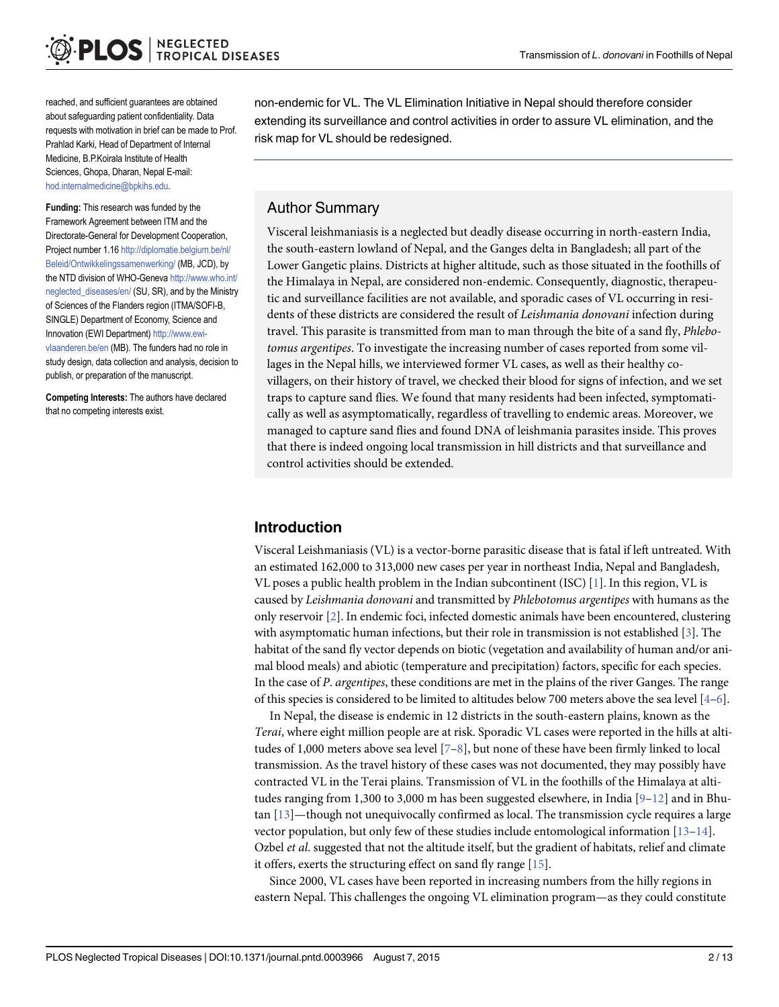<span id="page-1-0"></span>reached, and sufficient guarantees are obtained about safeguarding patient confidentiality. Data requests with motivation in brief can be made to Prof. Prahlad Karki, Head of Department of Internal Medicine, B.P.Koirala Institute of Health Sciences, Ghopa, Dharan, Nepal E-mail: hod.internalmedicine@bpkihs.edu.

Funding: This research was funded by the Framework Agreement between ITM and the Directorate-General for Development Cooperation, Project number 1.16 [http://diplomatie.belgium.be/nl/](http://diplomatie.belgium.be/nl/Beleid/Ontwikkelingssamenwerking/) [Beleid/Ontwikkelingssamenwerking/](http://diplomatie.belgium.be/nl/Beleid/Ontwikkelingssamenwerking/) (MB, JCD), by the NTD division of WHO-Geneva [http://www.who.int/](http://www.who.int/neglected_diseases/en/) [neglected\\_diseases/en/](http://www.who.int/neglected_diseases/en/) (SU, SR), and by the Ministry of Sciences of the Flanders region (ITMA/SOFI-B, SINGLE) Department of Economy, Science and Innovation (EWI Department) [http://www.ewi](http://www.ewi-vlaanderen.be/en)[vlaanderen.be/en](http://www.ewi-vlaanderen.be/en) (MB). The funders had no role in study design, data collection and analysis, decision to publish, or preparation of the manuscript.

Competing Interests: The authors have declared that no competing interests exist.

non-endemic for VL. The VL Elimination Initiative in Nepal should therefore consider extending its surveillance and control activities in order to assure VL elimination, and the risk map for VL should be redesigned.

#### Author Summary

Visceral leishmaniasis is a neglected but deadly disease occurring in north-eastern India, the south-eastern lowland of Nepal, and the Ganges delta in Bangladesh; all part of the Lower Gangetic plains. Districts at higher altitude, such as those situated in the foothills of the Himalaya in Nepal, are considered non-endemic. Consequently, diagnostic, therapeutic and surveillance facilities are not available, and sporadic cases of VL occurring in residents of these districts are considered the result of Leishmania donovani infection during travel. This parasite is transmitted from man to man through the bite of a sand fly, Phlebotomus argentipes. To investigate the increasing number of cases reported from some villages in the Nepal hills, we interviewed former VL cases, as well as their healthy covillagers, on their history of travel, we checked their blood for signs of infection, and we set traps to capture sand flies. We found that many residents had been infected, symptomatically as well as asymptomatically, regardless of travelling to endemic areas. Moreover, we managed to capture sand flies and found DNA of leishmania parasites inside. This proves that there is indeed ongoing local transmission in hill districts and that surveillance and control activities should be extended.

#### Introduction

Visceral Leishmaniasis (VL) is a vector-borne parasitic disease that is fatal if left untreated. With an estimated 162,000 to 313,000 new cases per year in northeast India, Nepal and Bangladesh, VL poses a public health problem in the Indian subcontinent (ISC) [\[1](#page-11-0)]. In this region, VL is caused by Leishmania donovani and transmitted by Phlebotomus argentipes with humans as the only reservoir [[2](#page-11-0)]. In endemic foci, infected domestic animals have been encountered, clustering with asymptomatic human infections, but their role in transmission is not established [\[3\]](#page-11-0). The habitat of the sand fly vector depends on biotic (vegetation and availability of human and/or animal blood meals) and abiotic (temperature and precipitation) factors, specific for each species. In the case of P. argentipes, these conditions are met in the plains of the river Ganges. The range of this species is considered to be limited to altitudes below 700 meters above the sea level  $[4-6]$  $[4-6]$  $[4-6]$  $[4-6]$  $[4-6]$ .

In Nepal, the disease is endemic in 12 districts in the south-eastern plains, known as the Terai, where eight million people are at risk. Sporadic VL cases were reported in the hills at altitudes of 1,000 meters above sea level  $[7-8]$  $[7-8]$  $[7-8]$  $[7-8]$  $[7-8]$ , but none of these have been firmly linked to local transmission. As the travel history of these cases was not documented, they may possibly have contracted VL in the Terai plains. Transmission of VL in the foothills of the Himalaya at altitudes ranging from 1,300 to 3,000 m has been suggested elsewhere, in India  $[9-12]$  $[9-12]$  $[9-12]$  $[9-12]$  $[9-12]$  and in Bhutan  $[13]$  $[13]$ —though not unequivocally confirmed as local. The transmission cycle requires a large vector population, but only few of these studies include entomological information  $[13-14]$  $[13-14]$  $[13-14]$ . Ozbel *et al.* suggested that not the altitude itself, but the gradient of habitats, relief and climate it offers, exerts the structuring effect on sand fly range [\[15\]](#page-11-0).

Since 2000, VL cases have been reported in increasing numbers from the hilly regions in eastern Nepal. This challenges the ongoing VL elimination program—as they could constitute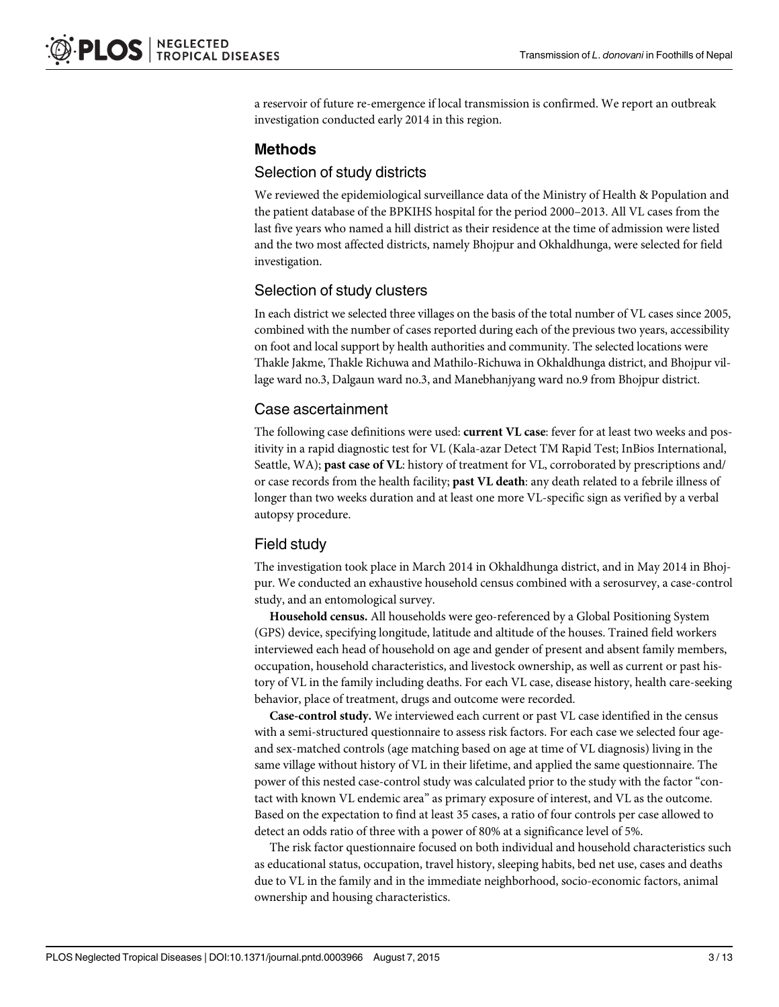a reservoir of future re-emergence if local transmission is confirmed. We report an outbreak investigation conducted early 2014 in this region.

#### Methods

#### Selection of study districts

We reviewed the epidemiological surveillance data of the Ministry of Health & Population and the patient database of the BPKIHS hospital for the period 2000–2013. All VL cases from the last five years who named a hill district as their residence at the time of admission were listed and the two most affected districts, namely Bhojpur and Okhaldhunga, were selected for field investigation.

#### Selection of study clusters

In each district we selected three villages on the basis of the total number of VL cases since 2005, combined with the number of cases reported during each of the previous two years, accessibility on foot and local support by health authorities and community. The selected locations were Thakle Jakme, Thakle Richuwa and Mathilo-Richuwa in Okhaldhunga district, and Bhojpur village ward no.3, Dalgaun ward no.3, and Manebhanjyang ward no.9 from Bhojpur district.

#### Case ascertainment

The following case definitions were used: current VL case: fever for at least two weeks and positivity in a rapid diagnostic test for VL (Kala-azar Detect TM Rapid Test; InBios International, Seattle, WA); **past case of VL**: history of treatment for VL, corroborated by prescriptions and/ or case records from the health facility; past VL death: any death related to a febrile illness of longer than two weeks duration and at least one more VL-specific sign as verified by a verbal autopsy procedure.

#### Field study

The investigation took place in March 2014 in Okhaldhunga district, and in May 2014 in Bhojpur. We conducted an exhaustive household census combined with a serosurvey, a case-control study, and an entomological survey.

Household census. All households were geo-referenced by a Global Positioning System (GPS) device, specifying longitude, latitude and altitude of the houses. Trained field workers interviewed each head of household on age and gender of present and absent family members, occupation, household characteristics, and livestock ownership, as well as current or past history of VL in the family including deaths. For each VL case, disease history, health care-seeking behavior, place of treatment, drugs and outcome were recorded.

Case-control study. We interviewed each current or past VL case identified in the census with a semi-structured questionnaire to assess risk factors. For each case we selected four ageand sex-matched controls (age matching based on age at time of VL diagnosis) living in the same village without history of VL in their lifetime, and applied the same questionnaire. The power of this nested case-control study was calculated prior to the study with the factor "contact with known VL endemic area" as primary exposure of interest, and VL as the outcome. Based on the expectation to find at least 35 cases, a ratio of four controls per case allowed to detect an odds ratio of three with a power of 80% at a significance level of 5%.

The risk factor questionnaire focused on both individual and household characteristics such as educational status, occupation, travel history, sleeping habits, bed net use, cases and deaths due to VL in the family and in the immediate neighborhood, socio-economic factors, animal ownership and housing characteristics.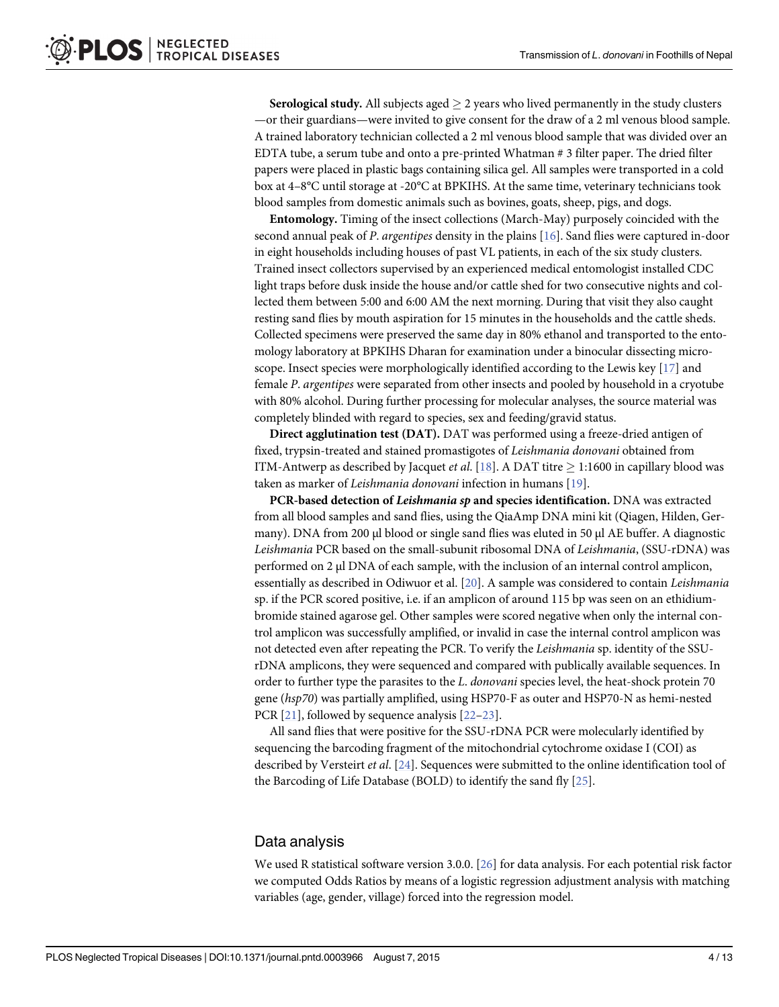<span id="page-3-0"></span>**Serological study.** All subjects aged  $\geq 2$  years who lived permanently in the study clusters —or their guardians—were invited to give consent for the draw of a 2 ml venous blood sample. A trained laboratory technician collected a 2 ml venous blood sample that was divided over an EDTA tube, a serum tube and onto a pre-printed Whatman # 3 filter paper. The dried filter papers were placed in plastic bags containing silica gel. All samples were transported in a cold box at 4–8°C until storage at -20°C at BPKIHS. At the same time, veterinary technicians took blood samples from domestic animals such as bovines, goats, sheep, pigs, and dogs.

Entomology. Timing of the insect collections (March-May) purposely coincided with the second annual peak of P. argentipes density in the plains [[16](#page-11-0)]. Sand flies were captured in-door in eight households including houses of past VL patients, in each of the six study clusters. Trained insect collectors supervised by an experienced medical entomologist installed CDC light traps before dusk inside the house and/or cattle shed for two consecutive nights and collected them between 5:00 and 6:00 AM the next morning. During that visit they also caught resting sand flies by mouth aspiration for 15 minutes in the households and the cattle sheds. Collected specimens were preserved the same day in 80% ethanol and transported to the entomology laboratory at BPKIHS Dharan for examination under a binocular dissecting microscope. Insect species were morphologically identified according to the Lewis key [\[17\]](#page-11-0) and female P. argentipes were separated from other insects and pooled by household in a cryotube with 80% alcohol. During further processing for molecular analyses, the source material was completely blinded with regard to species, sex and feeding/gravid status.

Direct agglutination test (DAT). DAT was performed using a freeze-dried antigen of fixed, trypsin-treated and stained promastigotes of Leishmania donovani obtained from ITM-Antwerp as described by Jacquet *et al.* [\[18\]](#page-11-0). A DAT titre  $\geq$  1:1600 in capillary blood was taken as marker of Leishmania donovani infection in humans [[19](#page-11-0)].

PCR-based detection of Leishmania sp and species identification. DNA was extracted from all blood samples and sand flies, using the QiaAmp DNA mini kit (Qiagen, Hilden, Germany). DNA from 200 μl blood or single sand flies was eluted in 50 μl AE buffer. A diagnostic Leishmania PCR based on the small-subunit ribosomal DNA of Leishmania, (SSU-rDNA) was performed on 2 μl DNA of each sample, with the inclusion of an internal control amplicon, essentially as described in Odiwuor et al. [[20](#page-11-0)]. A sample was considered to contain Leishmania sp. if the PCR scored positive, i.e. if an amplicon of around 115 bp was seen on an ethidiumbromide stained agarose gel. Other samples were scored negative when only the internal control amplicon was successfully amplified, or invalid in case the internal control amplicon was not detected even after repeating the PCR. To verify the Leishmania sp. identity of the SSUrDNA amplicons, they were sequenced and compared with publically available sequences. In order to further type the parasites to the L. donovani species level, the heat-shock protein 70 gene (hsp70) was partially amplified, using HSP70-F as outer and HSP70-N as hemi-nested PCR [[21\]](#page-12-0), followed by sequence analysis [[22](#page-12-0)–[23\]](#page-12-0).

All sand flies that were positive for the SSU-rDNA PCR were molecularly identified by sequencing the barcoding fragment of the mitochondrial cytochrome oxidase I (COI) as described by Versteirt et al. [\[24\]](#page-12-0). Sequences were submitted to the online identification tool of the Barcoding of Life Database (BOLD) to identify the sand fly [[25](#page-12-0)].

#### Data analysis

We used R statistical software version 3.0.0. [[26](#page-12-0)] for data analysis. For each potential risk factor we computed Odds Ratios by means of a logistic regression adjustment analysis with matching variables (age, gender, village) forced into the regression model.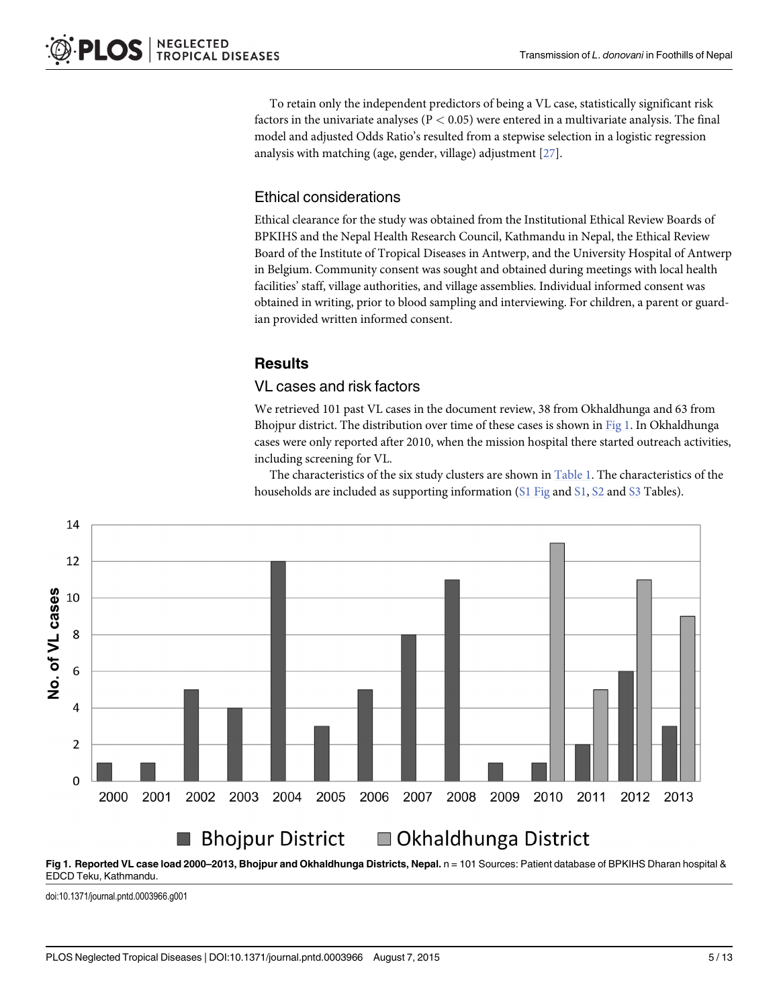<span id="page-4-0"></span>To retain only the independent predictors of being a VL case, statistically significant risk factors in the univariate analyses ( $P < 0.05$ ) were entered in a multivariate analysis. The final model and adjusted Odds Ratio's resulted from a stepwise selection in a logistic regression analysis with matching (age, gender, village) adjustment  $[27]$ .

### Ethical considerations

Ethical clearance for the study was obtained from the Institutional Ethical Review Boards of BPKIHS and the Nepal Health Research Council, Kathmandu in Nepal, the Ethical Review Board of the Institute of Tropical Diseases in Antwerp, and the University Hospital of Antwerp in Belgium. Community consent was sought and obtained during meetings with local health facilities' staff, village authorities, and village assemblies. Individual informed consent was obtained in writing, prior to blood sampling and interviewing. For children, a parent or guardian provided written informed consent.

### **Results**

#### VL cases and risk factors

We retrieved 101 past VL cases in the document review, 38 from Okhaldhunga and 63 from Bhojpur district. The distribution over time of these cases is shown in Fig 1. In Okhaldhunga cases were only reported after 2010, when the mission hospital there started outreach activities, including screening for VL.

The characteristics of the six study clusters are shown in  $Table 1$ . The characteristics of the households are included as supporting information  $(S1$  $(S1$  Fig and  $S1$ ,  $S2$  and  $S3$  Tables).



Fig 1. Reported VL case load 2000-2013, Bhojpur and Okhaldhunga Districts, Nepal. n = 101 Sources: Patient database of BPKIHS Dharan hospital & EDCD Teku, Kathmandu.

doi:10.1371/journal.pntd.0003966.g001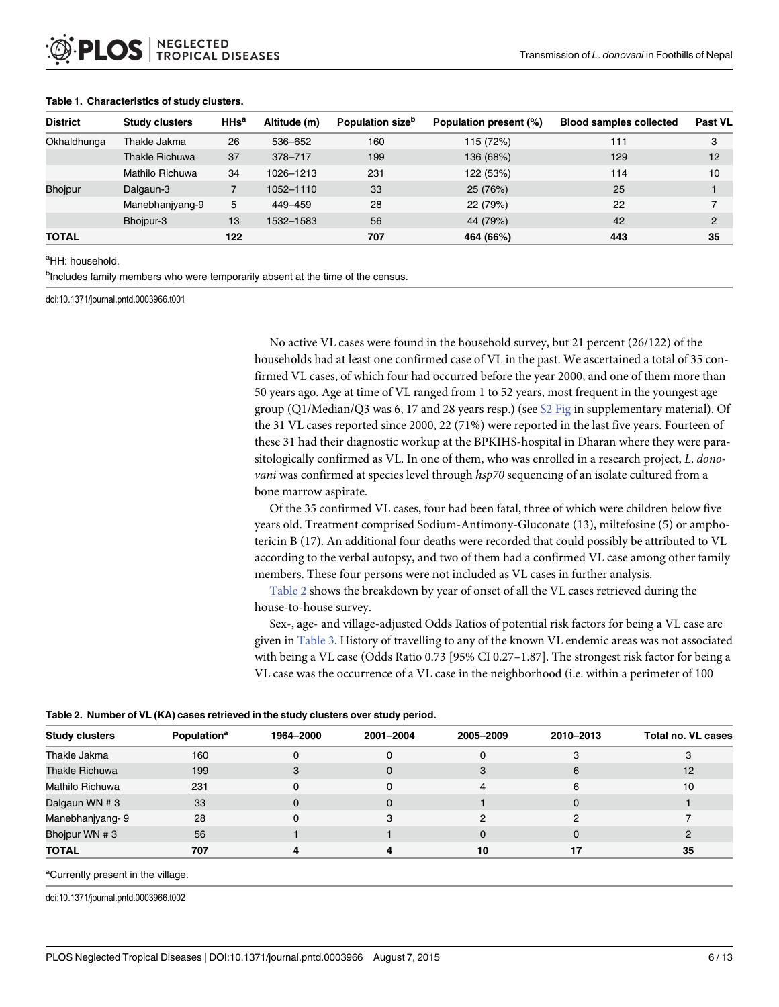| <b>District</b> | <b>Study clusters</b> | $H$ Hs <sup>a</sup> | Altitude (m) | Population size <sup>b</sup> | Population present (%) | <b>Blood samples collected</b> | Past VL       |
|-----------------|-----------------------|---------------------|--------------|------------------------------|------------------------|--------------------------------|---------------|
| Okhaldhunga     | Thakle Jakma          | 26                  | 536-652      | 160                          | 115 (72%)              | 111                            | 3             |
|                 | <b>Thakle Richuwa</b> | 37                  | 378-717      | 199                          | 136 (68%)              | 129                            | 12            |
|                 | Mathilo Richuwa       | 34                  | 1026-1213    | 231                          | 122 (53%)              | 114                            | 10            |
| <b>Bhoipur</b>  | Dalgaun-3             |                     | 1052-1110    | 33                           | 25 (76%)               | 25                             |               |
|                 | Manebhanjyang-9       | 5                   | 449-459      | 28                           | 22 (79%)               | 22                             |               |
|                 | Bhojpur-3             | 13                  | 1532-1583    | 56                           | 44 (79%)               | 42                             | $\mathcal{P}$ |
| <b>TOTAL</b>    |                       | 122                 |              | 707                          | 464 (66%)              | 443                            | 35            |

#### <span id="page-5-0"></span>[Table 1.](#page-4-0) Characteristics of study clusters.

#### <sup>a</sup>HH: household.

<sup>b</sup>Includes family members who were temporarily absent at the time of the census.

doi:10.1371/journal.pntd.0003966.t001

No active VL cases were found in the household survey, but 21 percent (26/122) of the households had at least one confirmed case of VL in the past. We ascertained a total of 35 confirmed VL cases, of which four had occurred before the year 2000, and one of them more than 50 years ago. Age at time of VL ranged from 1 to 52 years, most frequent in the youngest age group (Q1/Median/Q3 was 6, 17 and 28 years resp.) (see  $S2$  Fig in supplementary material). Of the 31 VL cases reported since 2000, 22 (71%) were reported in the last five years. Fourteen of these 31 had their diagnostic workup at the BPKIHS-hospital in Dharan where they were parasitologically confirmed as VL. In one of them, who was enrolled in a research project, L. donovani was confirmed at species level through hsp70 sequencing of an isolate cultured from a bone marrow aspirate.

Of the 35 confirmed VL cases, four had been fatal, three of which were children below five years old. Treatment comprised Sodium-Antimony-Gluconate (13), miltefosine (5) or amphotericin B (17). An additional four deaths were recorded that could possibly be attributed to VL according to the verbal autopsy, and two of them had a confirmed VL case among other family members. These four persons were not included as VL cases in further analysis.

Table 2 shows the breakdown by year of onset of all the VL cases retrieved during the house-to-house survey.

Sex-, age- and village-adjusted Odds Ratios of potential risk factors for being a VL case are given in [Table 3.](#page-6-0) History of travelling to any of the known VL endemic areas was not associated with being a VL case (Odds Ratio 0.73 [95% CI 0.27–1.87]. The strongest risk factor for being a VL case was the occurrence of a VL case in the neighborhood (i.e. within a perimeter of 100

| <b>Study clusters</b> | <b>Population</b> <sup>a</sup> | 1964-2000 | 2001-2004 | 2005-2009 | 2010-2013 | <b>Total no. VL cases</b> |
|-----------------------|--------------------------------|-----------|-----------|-----------|-----------|---------------------------|
| Thakle Jakma          | 160                            |           |           |           |           |                           |
| Thakle Richuwa        | 199                            |           | 0         |           | 6         | 12                        |
| Mathilo Richuwa       | 231                            |           |           |           | 6         | 10                        |
| Dalgaun WN # 3        | 33                             |           | 0         |           | $\Omega$  |                           |
| Manebhanjyang-9       | 28                             |           |           |           |           |                           |
| Bhojpur WN # 3        | 56                             |           |           |           |           |                           |
| <b>TOTAL</b>          | 707                            |           |           | 10        | 17        | 35                        |

<sup>a</sup>Currently present in the village.

doi:10.1371/journal.pntd.0003966.t002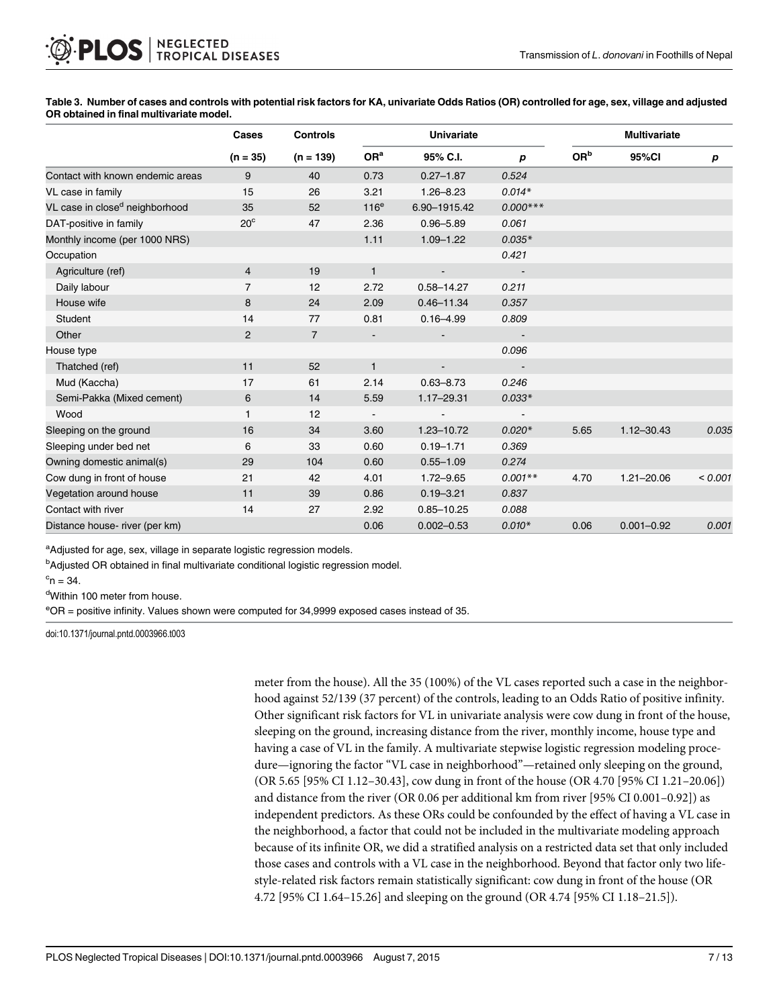|                                            | Cases<br>$(n = 35)$ | <b>Controls</b><br>$(n = 139)$ | <b>Univariate</b>        |                |            | <b>Multivariate</b> |                |                  |  |
|--------------------------------------------|---------------------|--------------------------------|--------------------------|----------------|------------|---------------------|----------------|------------------|--|
|                                            |                     |                                | OR <sup>a</sup>          | 95% C.I.       | p          | OR <sup>b</sup>     | 95%CI          | $\boldsymbol{p}$ |  |
| Contact with known endemic areas           | 9                   | 40                             | 0.73                     | $0.27 - 1.87$  | 0.524      |                     |                |                  |  |
| VL case in family                          | 15                  | 26                             | 3.21                     | $1.26 - 8.23$  | $0.014*$   |                     |                |                  |  |
| VL case in close <sup>d</sup> neighborhood | 35                  | 52                             | 116 <sup>e</sup>         | 6.90-1915.42   | $0.000***$ |                     |                |                  |  |
| DAT-positive in family                     | $20^{\circ}$        | 47                             | 2.36                     | $0.96 - 5.89$  | 0.061      |                     |                |                  |  |
| Monthly income (per 1000 NRS)              |                     |                                | 1.11                     | $1.09 - 1.22$  | $0.035*$   |                     |                |                  |  |
| Occupation                                 |                     |                                |                          |                | 0.421      |                     |                |                  |  |
| Agriculture (ref)                          | $\overline{4}$      | 19                             | $\mathbf{1}$             |                |            |                     |                |                  |  |
| Daily labour                               | $\overline{7}$      | 12                             | 2.72                     | $0.58 - 14.27$ | 0.211      |                     |                |                  |  |
| House wife                                 | 8                   | 24                             | 2.09                     | $0.46 - 11.34$ | 0.357      |                     |                |                  |  |
| Student                                    | 14                  | 77                             | 0.81                     | $0.16 - 4.99$  | 0.809      |                     |                |                  |  |
| Other                                      | $\overline{c}$      | $\overline{7}$                 |                          |                |            |                     |                |                  |  |
| House type                                 |                     |                                |                          |                | 0.096      |                     |                |                  |  |
| Thatched (ref)                             | 11                  | 52                             | $\mathbf{1}$             |                |            |                     |                |                  |  |
| Mud (Kaccha)                               | 17                  | 61                             | 2.14                     | $0.63 - 8.73$  | 0.246      |                     |                |                  |  |
| Semi-Pakka (Mixed cement)                  | 6                   | 14                             | 5.59                     | $1.17 - 29.31$ | $0.033*$   |                     |                |                  |  |
| Wood                                       | 1                   | 12                             | $\overline{\phantom{a}}$ |                |            |                     |                |                  |  |
| Sleeping on the ground                     | 16                  | 34                             | 3.60                     | 1.23-10.72     | $0.020*$   | 5.65                | $1.12 - 30.43$ | 0.035            |  |
| Sleeping under bed net                     | 6                   | 33                             | 0.60                     | $0.19 - 1.71$  | 0.369      |                     |                |                  |  |
| Owning domestic animal(s)                  | 29                  | 104                            | 0.60                     | $0.55 - 1.09$  | 0.274      |                     |                |                  |  |
| Cow dung in front of house                 | 21                  | 42                             | 4.01                     | $1.72 - 9.65$  | $0.001**$  | 4.70                | $1.21 - 20.06$ | < 0.001          |  |
| Vegetation around house                    | 11                  | 39                             | 0.86                     | $0.19 - 3.21$  | 0.837      |                     |                |                  |  |
| Contact with river                         | 14                  | 27                             | 2.92                     | $0.85 - 10.25$ | 0.088      |                     |                |                  |  |
| Distance house- river (per km)             |                     |                                | 0.06                     | $0.002 - 0.53$ | $0.010*$   | 0.06                | $0.001 - 0.92$ | 0.001            |  |

<span id="page-6-0"></span>[Table 3.](#page-5-0) Number of cases and controls with potential risk factors for KA, univariate Odds Ratios (OR) controlled for age, sex, village and adjusted OR obtained in final multivariate model.

<sup>a</sup>Adjusted for age, sex, village in separate logistic regression models.

<sup>b</sup>Adjusted OR obtained in final multivariate conditional logistic regression model.

 $\mathrm{^{c}n} = 34.$ 

dWithin 100 meter from house.

e OR = positive infinity. Values shown were computed for 34,9999 exposed cases instead of 35.

doi:10.1371/journal.pntd.0003966.t003

meter from the house). All the 35 (100%) of the VL cases reported such a case in the neighborhood against 52/139 (37 percent) of the controls, leading to an Odds Ratio of positive infinity. Other significant risk factors for VL in univariate analysis were cow dung in front of the house, sleeping on the ground, increasing distance from the river, monthly income, house type and having a case of VL in the family. A multivariate stepwise logistic regression modeling procedure—ignoring the factor "VL case in neighborhood"—retained only sleeping on the ground, (OR 5.65 [95% CI 1.12–30.43], cow dung in front of the house (OR 4.70 [95% CI 1.21–20.06]) and distance from the river (OR 0.06 per additional km from river [95% CI 0.001–0.92]) as independent predictors. As these ORs could be confounded by the effect of having a VL case in the neighborhood, a factor that could not be included in the multivariate modeling approach because of its infinite OR, we did a stratified analysis on a restricted data set that only included those cases and controls with a VL case in the neighborhood. Beyond that factor only two lifestyle-related risk factors remain statistically significant: cow dung in front of the house (OR 4.72 [95% CI 1.64–15.26] and sleeping on the ground (OR 4.74 [95% CI 1.18–21.5]).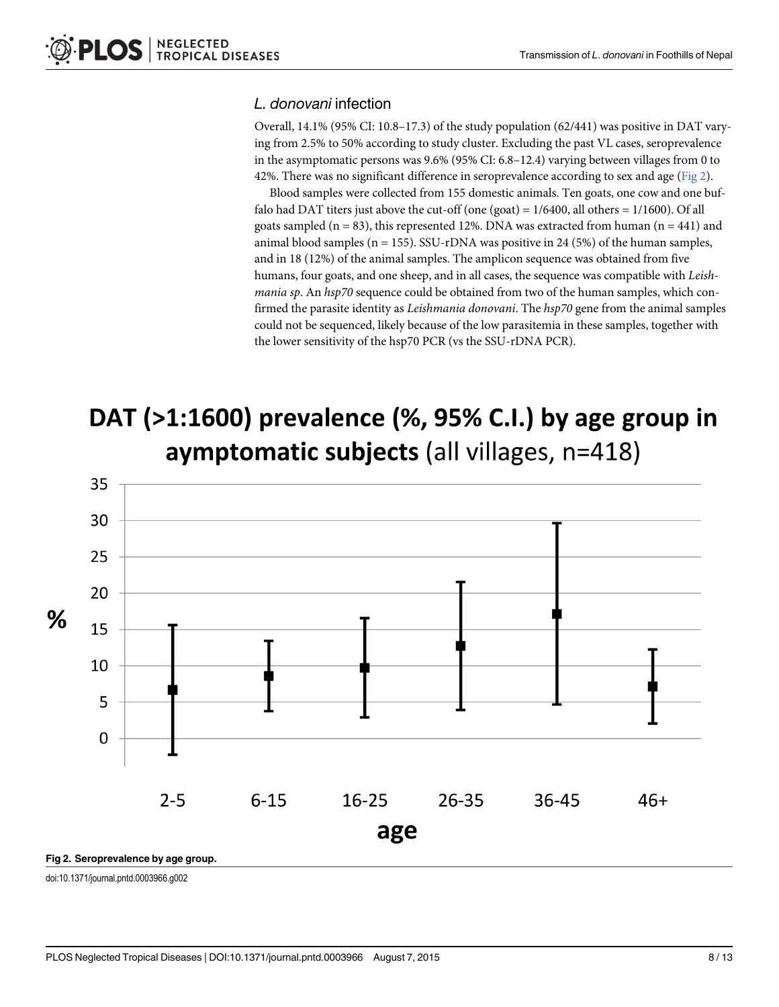#### L. donovani infection

Overall, 14.1% (95% CI: 10.8–17.3) of the study population (62/441) was positive in DAT varying from 2.5% to 50% according to study cluster. Excluding the past VL cases, seroprevalence in the asymptomatic persons was 9.6% (95% CI: 6.8–12.4) varying between villages from 0 to 42%. There was no significant difference in seroprevalence according to sex and age ( $Fig 2$ ).

Blood samples were collected from 155 domestic animals. Ten goats, one cow and one buffalo had DAT titers just above the cut-off (one (goat) =  $1/6400$ , all others =  $1/1600$ ). Of all goats sampled ( $n = 83$ ), this represented 12%. DNA was extracted from human ( $n = 441$ ) and animal blood samples ( $n = 155$ ). SSU-rDNA was positive in 24 (5%) of the human samples, and in 18 (12%) of the animal samples. The amplicon sequence was obtained from five humans, four goats, and one sheep, and in all cases, the sequence was compatible with Leishmania sp. An hsp70 sequence could be obtained from two of the human samples, which confirmed the parasite identity as Leishmania donovani. The hsp70 gene from the animal samples could not be sequenced, likely because of the low parasitemia in these samples, together with the lower sensitivity of the hsp70 PCR (vs the SSU-rDNA PCR).

# DAT (>1:1600) prevalence (%, 95% C.I.) by age group in aymptomatic subjects (all villages, n=418)



doi:10.1371/journal.pntd.0003966.g002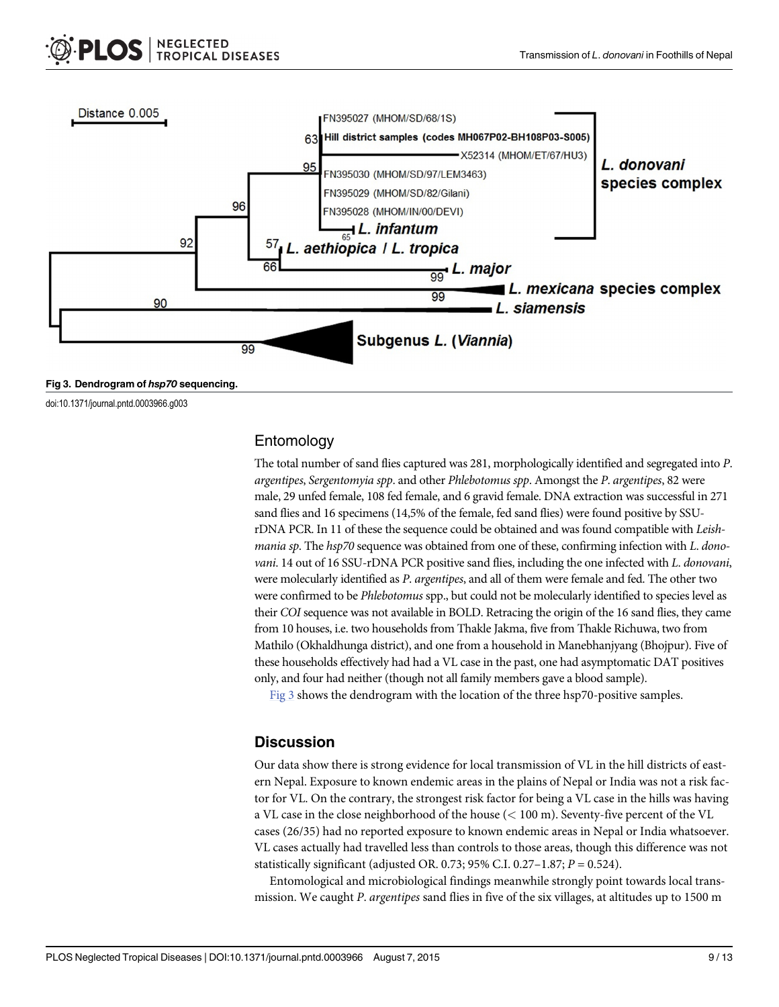doi:10.1371/journal.pntd.0003966.g003



Entomology

The total number of sand flies captured was 281, morphologically identified and segregated into P. argentipes, Sergentomyia spp. and other Phlebotomus spp. Amongst the P. argentipes, 82 were male, 29 unfed female, 108 fed female, and 6 gravid female. DNA extraction was successful in 271 sand flies and 16 specimens (14,5% of the female, fed sand flies) were found positive by SSUrDNA PCR. In 11 of these the sequence could be obtained and was found compatible with Leishmania sp. The hsp70 sequence was obtained from one of these, confirming infection with L. donovani. 14 out of 16 SSU-rDNA PCR positive sand flies, including the one infected with L. donovani, were molecularly identified as P. argentipes, and all of them were female and fed. The other two were confirmed to be Phlebotomus spp., but could not be molecularly identified to species level as their COI sequence was not available in BOLD. Retracing the origin of the 16 sand flies, they came from 10 houses, i.e. two households from Thakle Jakma, five from Thakle Richuwa, two from Mathilo (Okhaldhunga district), and one from a household in Manebhanjyang (Bhojpur). Five of these households effectively had had a VL case in the past, one had asymptomatic DAT positives only, and four had neither (though not all family members gave a blood sample).

Fig 3 shows the dendrogram with the location of the three hsp70-positive samples.

#### **Discussion**

Our data show there is strong evidence for local transmission of VL in the hill districts of eastern Nepal. Exposure to known endemic areas in the plains of Nepal or India was not a risk factor for VL. On the contrary, the strongest risk factor for being a VL case in the hills was having a VL case in the close neighborhood of the house (< 100 m). Seventy-five percent of the VL cases (26/35) had no reported exposure to known endemic areas in Nepal or India whatsoever. VL cases actually had travelled less than controls to those areas, though this difference was not statistically significant (adjusted OR. 0.73; 95% C.I. 0.27–1.87;  $P = 0.524$ ).

Entomological and microbiological findings meanwhile strongly point towards local transmission. We caught P. argentipes sand flies in five of the six villages, at altitudes up to 1500 m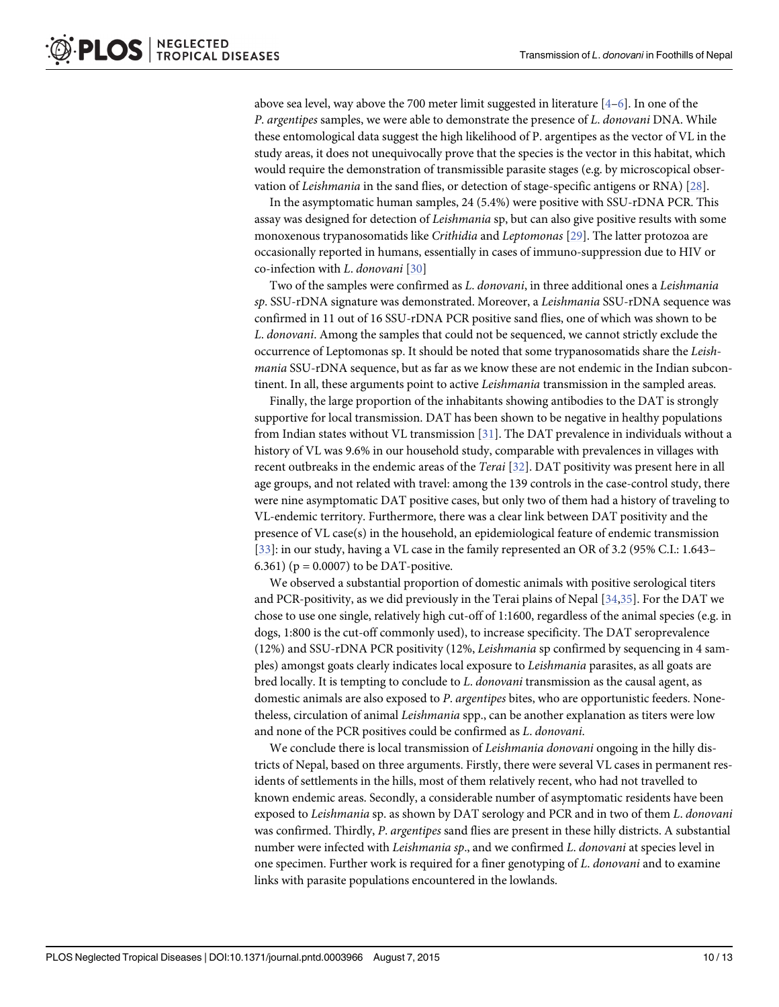<span id="page-9-0"></span>above sea level, way above the 700 meter limit suggested in literature  $[4-6]$  $[4-6]$  $[4-6]$  $[4-6]$ . In one of the P. argentipes samples, we were able to demonstrate the presence of L. donovani DNA. While these entomological data suggest the high likelihood of P. argentipes as the vector of VL in the study areas, it does not unequivocally prove that the species is the vector in this habitat, which would require the demonstration of transmissible parasite stages (e.g. by microscopical observation of Leishmania in the sand flies, or detection of stage-specific antigens or RNA) [[28](#page-12-0)].

In the asymptomatic human samples, 24 (5.4%) were positive with SSU-rDNA PCR. This assay was designed for detection of Leishmania sp, but can also give positive results with some monoxenous trypanosomatids like Crithidia and Leptomonas [\[29](#page-12-0)]. The latter protozoa are occasionally reported in humans, essentially in cases of immuno-suppression due to HIV or co-infection with L. donovani [[30](#page-12-0)]

Two of the samples were confirmed as L. donovani, in three additional ones a Leishmania sp. SSU-rDNA signature was demonstrated. Moreover, a Leishmania SSU-rDNA sequence was confirmed in 11 out of 16 SSU-rDNA PCR positive sand flies, one of which was shown to be L. donovani. Among the samples that could not be sequenced, we cannot strictly exclude the occurrence of Leptomonas sp. It should be noted that some trypanosomatids share the Leishmania SSU-rDNA sequence, but as far as we know these are not endemic in the Indian subcontinent. In all, these arguments point to active Leishmania transmission in the sampled areas.

Finally, the large proportion of the inhabitants showing antibodies to the DAT is strongly supportive for local transmission. DAT has been shown to be negative in healthy populations from Indian states without VL transmission [\[31\]](#page-12-0). The DAT prevalence in individuals without a history of VL was 9.6% in our household study, comparable with prevalences in villages with recent outbreaks in the endemic areas of the Terai [\[32\]](#page-12-0). DAT positivity was present here in all age groups, and not related with travel: among the 139 controls in the case-control study, there were nine asymptomatic DAT positive cases, but only two of them had a history of traveling to VL-endemic territory. Furthermore, there was a clear link between DAT positivity and the presence of VL case(s) in the household, an epidemiological feature of endemic transmission [\[33](#page-12-0)]: in our study, having a VL case in the family represented an OR of 3.2 (95% C.I.: 1.643– 6.361) ( $p = 0.0007$ ) to be DAT-positive.

We observed a substantial proportion of domestic animals with positive serological titers and PCR-positivity, as we did previously in the Terai plains of Nepal  $[34,35]$  $[34,35]$  $[34,35]$ . For the DAT we chose to use one single, relatively high cut-off of 1:1600, regardless of the animal species (e.g. in dogs, 1:800 is the cut-off commonly used), to increase specificity. The DAT seroprevalence (12%) and SSU-rDNA PCR positivity (12%, Leishmania sp confirmed by sequencing in 4 samples) amongst goats clearly indicates local exposure to Leishmania parasites, as all goats are bred locally. It is tempting to conclude to L. *donovani* transmission as the causal agent, as domestic animals are also exposed to P. argentipes bites, who are opportunistic feeders. Nonetheless, circulation of animal *Leishmania* spp., can be another explanation as titers were low and none of the PCR positives could be confirmed as L. donovani.

We conclude there is local transmission of Leishmania donovani ongoing in the hilly districts of Nepal, based on three arguments. Firstly, there were several VL cases in permanent residents of settlements in the hills, most of them relatively recent, who had not travelled to known endemic areas. Secondly, a considerable number of asymptomatic residents have been exposed to Leishmania sp. as shown by DAT serology and PCR and in two of them L. donovani was confirmed. Thirdly, P. argentipes sand flies are present in these hilly districts. A substantial number were infected with Leishmania sp., and we confirmed L. donovani at species level in one specimen. Further work is required for a finer genotyping of L. donovani and to examine links with parasite populations encountered in the lowlands.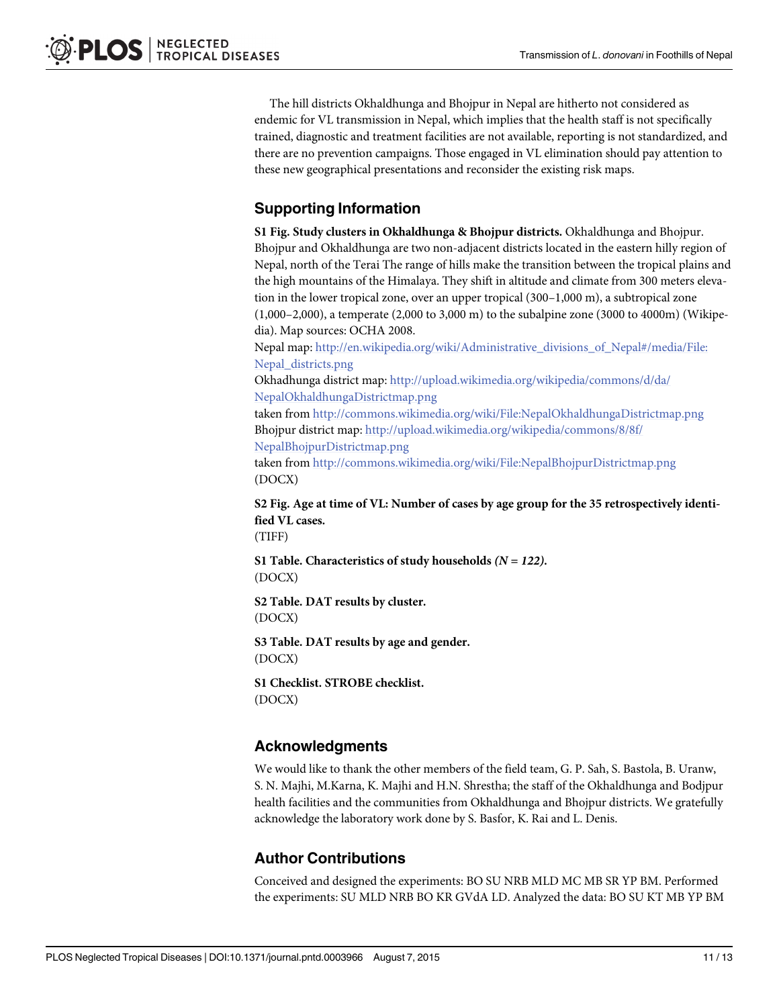<span id="page-10-0"></span>The hill districts Okhaldhunga and Bhojpur in Nepal are hitherto not considered as endemic for VL transmission in Nepal, which implies that the health staff is not specifically trained, diagnostic and treatment facilities are not available, reporting is not standardized, and there are no prevention campaigns. Those engaged in VL elimination should pay attention to these new geographical presentations and reconsider the existing risk maps.

### Supporting Information

[S1 Fig.](http://www.plosone.org/article/fetchSingleRepresentation.action?uri=info:doi/10.1371/journal.pntd.0003966.s001) Study clusters in Okhaldhunga & Bhojpur districts. Okhaldhunga and Bhojpur. Bhojpur and Okhaldhunga are two non-adjacent districts located in the eastern hilly region of Nepal, north of the Terai The range of hills make the transition between the tropical plains and the high mountains of the Himalaya. They shift in altitude and climate from 300 meters elevation in the lower tropical zone, over an upper tropical (300–1,000 m), a subtropical zone (1,000–2,000), a temperate (2,000 to 3,000 m) to the subalpine zone (3000 to 4000m) (Wikipedia). Map sources: OCHA 2008.

Nepal map: [http://en.wikipedia.org/wiki/Administrative\\_divisions\\_of\\_Nepal#/media/File:](http://en.wikipedia.org/wiki/Administrative_divisions_of_Nepal#/media/File:Nepal_districts.png) [Nepal\\_districts.png](http://en.wikipedia.org/wiki/Administrative_divisions_of_Nepal#/media/File:Nepal_districts.png)

Okhadhunga district map: [http://upload.wikimedia.org/wikipedia/commons/d/da/](http://upload.wikimedia.org/wikipedia/commons/d/da/NepalOkhaldhungaDistrictmap.png) [NepalOkhaldhungaDistrictmap.png](http://upload.wikimedia.org/wikipedia/commons/d/da/NepalOkhaldhungaDistrictmap.png)

taken from <http://commons.wikimedia.org/wiki/File:NepalOkhaldhungaDistrictmap.png> Bhojpur district map: [http://upload.wikimedia.org/wikipedia/commons/8/8f/](http://upload.wikimedia.org/wikipedia/commons/8/8f/NepalBhojpurDistrictmap.png) [NepalBhojpurDistrictmap.png](http://upload.wikimedia.org/wikipedia/commons/8/8f/NepalBhojpurDistrictmap.png)

taken from <http://commons.wikimedia.org/wiki/File:NepalBhojpurDistrictmap.png> (DOCX)

[S2 Fig.](http://www.plosone.org/article/fetchSingleRepresentation.action?uri=info:doi/10.1371/journal.pntd.0003966.s002) Age at time of VL: Number of cases by age group for the 35 retrospectively identified VL cases.

(TIFF)

[S1 Table](http://www.plosone.org/article/fetchSingleRepresentation.action?uri=info:doi/10.1371/journal.pntd.0003966.s003). Characteristics of study households  $(N = 122)$ . (DOCX)

[S2 Table](http://www.plosone.org/article/fetchSingleRepresentation.action?uri=info:doi/10.1371/journal.pntd.0003966.s004). DAT results by cluster. (DOCX)

[S3 Table](http://www.plosone.org/article/fetchSingleRepresentation.action?uri=info:doi/10.1371/journal.pntd.0003966.s005). DAT results by age and gender. (DOCX)

[S1 Checklist.](http://www.plosone.org/article/fetchSingleRepresentation.action?uri=info:doi/10.1371/journal.pntd.0003966.s006) STROBE checklist. (DOCX)

#### Acknowledgments

We would like to thank the other members of the field team, G. P. Sah, S. Bastola, B. Uranw, S. N. Majhi, M.Karna, K. Majhi and H.N. Shrestha; the staff of the Okhaldhunga and Bodjpur health facilities and the communities from Okhaldhunga and Bhojpur districts. We gratefully acknowledge the laboratory work done by S. Basfor, K. Rai and L. Denis.

#### Author Contributions

Conceived and designed the experiments: BO SU NRB MLD MC MB SR YP BM. Performed the experiments: SU MLD NRB BO KR GVdA LD. Analyzed the data: BO SU KT MB YP BM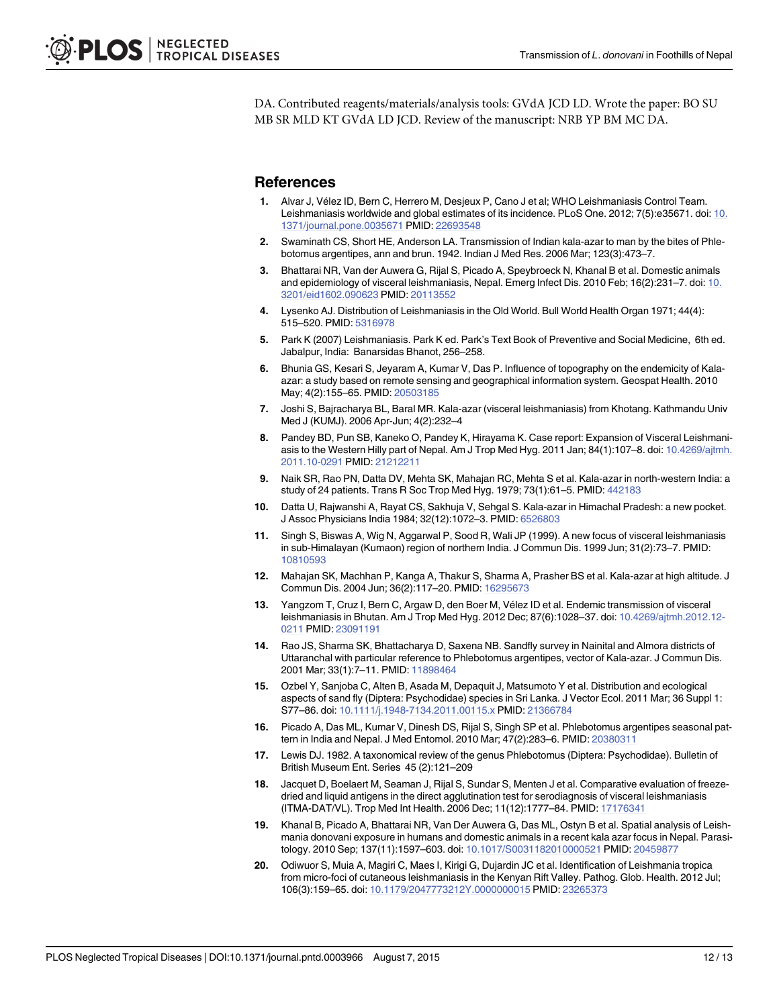<span id="page-11-0"></span>DA. Contributed reagents/materials/analysis tools: GVdA JCD LD. Wrote the paper: BO SU MB SR MLD KT GVdA LD JCD. Review of the manuscript: NRB YP BM MC DA.

#### **References**

- [1.](#page-1-0) Alvar J, Vélez ID, Bern C, Herrero M, Desjeux P, Cano J et al; WHO Leishmaniasis Control Team. Leishmaniasis worldwide and global estimates of its incidence. PLoS One. 2012; 7(5):e35671. doi: [10.](http://dx.doi.org/10.1371/journal.pone.0035671) [1371/journal.pone.0035671](http://dx.doi.org/10.1371/journal.pone.0035671) PMID: [22693548](http://www.ncbi.nlm.nih.gov/pubmed/22693548)
- [2.](#page-1-0) Swaminath CS, Short HE, Anderson LA. Transmission of Indian kala-azar to man by the bites of Phlebotomus argentipes, ann and brun. 1942. Indian J Med Res. 2006 Mar; 123(3):473–7.
- [3.](#page-1-0) Bhattarai NR, Van der Auwera G, Rijal S, Picado A, Speybroeck N, Khanal B et al. Domestic animals and epidemiology of visceral leishmaniasis, Nepal. Emerg Infect Dis. 2010 Feb; 16(2):231–7. doi: [10.](http://dx.doi.org/10.3201/eid1602.090623) [3201/eid1602.090623](http://dx.doi.org/10.3201/eid1602.090623) PMID: [20113552](http://www.ncbi.nlm.nih.gov/pubmed/20113552)
- [4.](#page-1-0) Lysenko AJ. Distribution of Leishmaniasis in the Old World. Bull World Health Organ 1971; 44(4): 515–520. PMID: [5316978](http://www.ncbi.nlm.nih.gov/pubmed/5316978)
- 5. Park K (2007) Leishmaniasis. Park K ed. Park's Text Book of Preventive and Social Medicine, 6th ed. Jabalpur, India: Banarsidas Bhanot, 256–258.
- [6.](#page-1-0) Bhunia GS, Kesari S, Jeyaram A, Kumar V, Das P. Influence of topography on the endemicity of Kalaazar: a study based on remote sensing and geographical information system. Geospat Health. 2010 May; 4(2):155–65. PMID: [20503185](http://www.ncbi.nlm.nih.gov/pubmed/20503185)
- [7.](#page-1-0) Joshi S, Bajracharya BL, Baral MR. Kala-azar (visceral leishmaniasis) from Khotang. Kathmandu Univ Med J (KUMJ). 2006 Apr-Jun; 4(2):232–4
- [8.](#page-1-0) Pandey BD, Pun SB, Kaneko O, Pandey K, Hirayama K. Case report: Expansion of Visceral Leishmaniasis to the Western Hilly part of Nepal. Am J Trop Med Hyg. 2011 Jan; 84(1):107–8. doi: [10.4269/ajtmh.](http://dx.doi.org/10.4269/ajtmh.2011.10-0291) [2011.10-0291](http://dx.doi.org/10.4269/ajtmh.2011.10-0291) PMID: [21212211](http://www.ncbi.nlm.nih.gov/pubmed/21212211)
- [9.](#page-1-0) Naik SR, Rao PN, Datta DV, Mehta SK, Mahajan RC, Mehta S et al. Kala-azar in north-western India: a study of 24 patients. Trans R Soc Trop Med Hyg. 1979; 73(1):61–5. PMID: [442183](http://www.ncbi.nlm.nih.gov/pubmed/442183)
- 10. Datta U, Rajwanshi A, Rayat CS, Sakhuja V, Sehgal S. Kala-azar in Himachal Pradesh: a new pocket. J Assoc Physicians India 1984; 32(12):1072–3. PMID: [6526803](http://www.ncbi.nlm.nih.gov/pubmed/6526803)
- 11. Singh S, Biswas A, Wig N, Aggarwal P, Sood R, Wali JP (1999). A new focus of visceral leishmaniasis in sub-Himalayan (Kumaon) region of northern India. J Commun Dis. 1999 Jun; 31(2):73–7. PMID: [10810593](http://www.ncbi.nlm.nih.gov/pubmed/10810593)
- [12.](#page-1-0) Mahajan SK, Machhan P, Kanga A, Thakur S, Sharma A, Prasher BS et al. Kala-azar at high altitude. J Commun Dis. 2004 Jun; 36(2):117–20. PMID: [16295673](http://www.ncbi.nlm.nih.gov/pubmed/16295673)
- [13.](#page-1-0) Yangzom T, Cruz I, Bern C, Argaw D, den Boer M, Vélez ID et al. Endemic transmission of visceral leishmaniasis in Bhutan. Am J Trop Med Hyg. 2012 Dec; 87(6):1028–37. doi: [10.4269/ajtmh.2012.12-](http://dx.doi.org/10.4269/ajtmh.2012.12-0211) [0211](http://dx.doi.org/10.4269/ajtmh.2012.12-0211) PMID: [23091191](http://www.ncbi.nlm.nih.gov/pubmed/23091191)
- [14.](#page-1-0) Rao JS, Sharma SK, Bhattacharya D, Saxena NB. Sandfly survey in Nainital and Almora districts of Uttaranchal with particular reference to Phlebotomus argentipes, vector of Kala-azar. J Commun Dis. 2001 Mar; 33(1):7-11. PMID: [11898464](http://www.ncbi.nlm.nih.gov/pubmed/11898464)
- [15.](#page-1-0) Ozbel Y, Sanjoba C, Alten B, Asada M, Depaquit J, Matsumoto Y et al. Distribution and ecological aspects of sand fly (Diptera: Psychodidae) species in Sri Lanka. J Vector Ecol. 2011 Mar; 36 Suppl 1: S77–86. doi: [10.1111/j.1948-7134.2011.00115.x](http://dx.doi.org/10.1111/j.1948-7134.2011.00115.x) PMID: [21366784](http://www.ncbi.nlm.nih.gov/pubmed/21366784)
- [16.](#page-3-0) Picado A, Das ML, Kumar V, Dinesh DS, Rijal S, Singh SP et al. Phlebotomus argentipes seasonal pat-tern in India and Nepal. J Med Entomol. 2010 Mar; 47(2):283-6. PMID: [20380311](http://www.ncbi.nlm.nih.gov/pubmed/20380311)
- [17.](#page-3-0) Lewis DJ. 1982. A taxonomical review of the genus Phlebotomus (Diptera: Psychodidae). Bulletin of British Museum Ent. Series 45 (2):121–209
- [18.](#page-3-0) Jacquet D, Boelaert M, Seaman J, Rijal S, Sundar S, Menten J et al. Comparative evaluation of freezedried and liquid antigens in the direct agglutination test for serodiagnosis of visceral leishmaniasis (ITMA-DAT/VL). Trop Med Int Health. 2006 Dec; 11(12):1777–84. PMID: [17176341](http://www.ncbi.nlm.nih.gov/pubmed/17176341)
- [19.](#page-3-0) Khanal B, Picado A, Bhattarai NR, Van Der Auwera G, Das ML, Ostyn B et al. Spatial analysis of Leishmania donovani exposure in humans and domestic animals in a recent kala azar focus in Nepal. Parasitology. 2010 Sep; 137(11):1597–603. doi: [10.1017/S0031182010000521](http://dx.doi.org/10.1017/S0031182010000521) PMID: [20459877](http://www.ncbi.nlm.nih.gov/pubmed/20459877)
- [20.](#page-3-0) Odiwuor S, Muia A, Magiri C, Maes I, Kirigi G, Dujardin JC et al. Identification of Leishmania tropica from micro-foci of cutaneous leishmaniasis in the Kenyan Rift Valley. Pathog. Glob. Health. 2012 Jul; 106(3):159–65. doi: [10.1179/2047773212Y.0000000015](http://dx.doi.org/10.1179/2047773212Y.0000000015) PMID: [23265373](http://www.ncbi.nlm.nih.gov/pubmed/23265373)